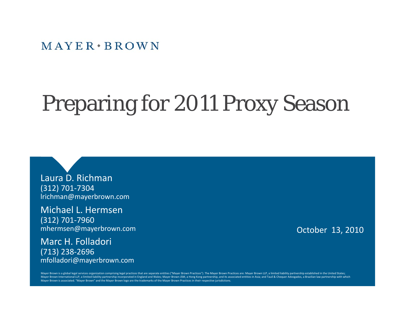$M$  AYER  $*$  BROWN

# Preparing for 2011 Proxy Season

Laura D. Richman (312) 701‐7304 lrichman@mayerbrown.com

Michael L. Hermsen(312) 701‐7960 mhermsen@mayerbrown.com

Marc H. Folladori (713) 238-2696 mfolladori@mayerbrown.com October 13, 2010

Mayer Brown is a global legal services organization comprising legal practices that are separate entities ("Mayer Brown Practices"). The Mayer Brown Practices are: Mayer Brown LLP, a limited liability partnership establish Mayer Brown International LLP, a limited liability partnership incorporated in England and Wales; Mayer Brown JSM, a Hong Kong partnership, and its associated entities in Asia; and Tauil & Chequer Advogados, a Brazilian la Mayer Brown is associated. "Mayer Brown" and the Mayer Brown logo are the trademarks of the Mayer Brown Practices in their respective jurisdictions.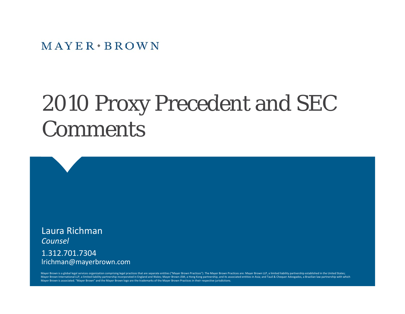$MAYER * BROWN$ 

# 2010 Proxy Precedent and SEC Comments

Laura Richman*Counsel*1.312.701.7304lrichman@mayerbrown.com

Mayer Brown is a global legal services organization comprising legal practices that are separate entities ("Mayer Brown Practices"). The Mayer Brown Practices are: Mayer Brown LLP, a limited liability partnership establish Mayer Brown International LLP, a limited liability partnership incorporated in England and Wales; Mayer Brown JSM, a Hong Kong partnership, and its associated entities in Asia; and Tauil & Chequer Advogados, a Brazilian la Mayer Brown is associated. "Mayer Brown" and the Mayer Brown logo are the trademarks of the Mayer Brown Practices in their respective jurisdictions.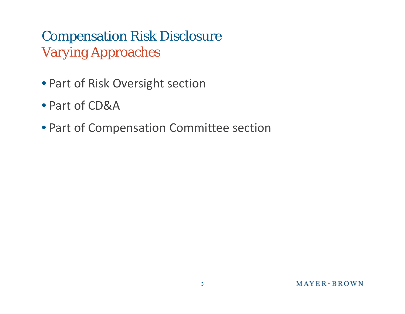## Compensation Risk Disclosure Varying Approaches

- Part of Risk Oversight section
- Part of CD&A
- Part of Compensation Committee section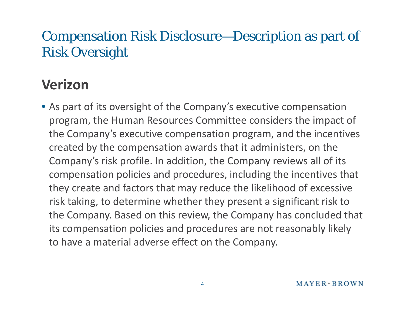### Compensation Risk Disclosure—Description as part of Risk Oversi ght

# **Verizon**

• As part of its oversight of the Company's executive compensation program, the Human Resources Committee considers the impact of the Company's executive compensation program, and the incentives created by the compensation awards that it administers, on the Company's risk profile. In addition, the Company reviews all of its compensation policies and procedures, including the incentives that they create and factors that may reduce the likelihood of excessive risk taking, to determine whether they present a significant risk to the Company. Based on this review, the Company has concluded that its compensation policies and procedures are not reasonably likely to have a material adverse effect on the Company.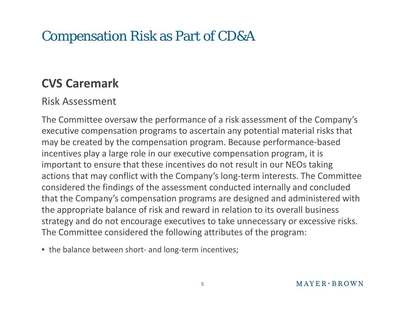### Compensation Risk as Part of CD&A

#### **CVS Caremark**

#### Risk Assessment

The Committee oversaw the performance of a risk assessment of the Company's executive compensation programs to ascertain any potential material risks that may be created by the compensation program. Because performance ‐based incentives play a large role in our executive compensation program, it is important to ensure that these incentives do not result in our NEOs taking actions that may conflict with the Company's long-term interests. The Committee considered the findings of the assessment conducted internally and concluded that the Company's compensation programs are designed and administered with the appropriate balance of risk and reward in relation to its overall business strategy and do not encourage executives to take unnecessary or excessive risks. The Committee considered the following attributes of the program:

• the balance between short‐ and long‐term incentives;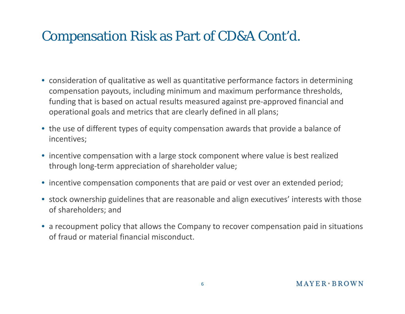### Compensation Risk as Part of CD&A Cont'd.

- consideration of qualitative as well as quantitative performance factors in determining compensation payouts, including minimum and maximum performance thresholds, funding that is based on actual results measured against pre‐approved financial and operational goals and metrics that are clearly defined in all plans;
- the use of different types of equity compensation awards that provide a balance of incentives;
- incentive compensation with a large stock component where value is best realized through long‐term appreciation of shareholder value;
- incentive compensation components that are paid or vest over an extended period;
- stock ownership guidelines that are reasonable and align executives' interests with those of shareholders; and
- a recoupment policy that allows the Company to recover compensation paid in situations of fraud or material financial misconduct.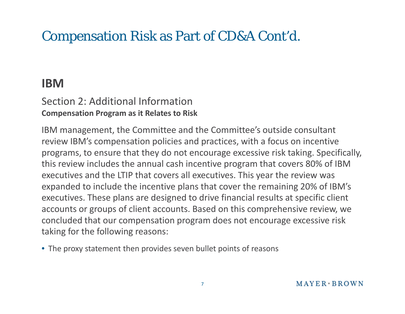## Compensation Risk as Part of CD&A Cont'd.

#### **IBM**

#### Section 2: Additional Information **Compensation Program as it Relates to Risk**

IBM management, the Committee and the Committee's outside consultant review IBM's compensation policies and practices, with a focus on incentive programs, to ensure that they do not encourage excessive risk taking. Specifically, this review includes the annual cash incentive program that covers 80% of IBM executives and the LTIP that covers all executives. This year the review was expanded to include the incentive plans that cover the remaining 20% of IBM's executives. These plans are designed to drive financial results at specific client accounts or groups of client accounts. Based on this comprehensive review, we concluded that our compensation program does not encourage excessive risk taking for the following reasons:

• The proxy statement then provides seven bullet points of reasons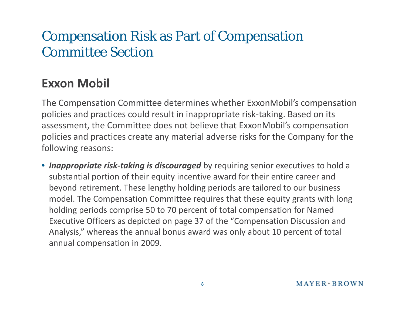### Compensation Risk as Part of Compensation Committee Section

#### **Exxon Mobil**

The Compensation Committee determines whether ExxonMobil's compensation policies and practices could result in inappropriate risk ‐taking. Based on its assessment, the Committee does not believe that ExxonMobil's compensation policies and practices create any material adverse risks for the Company for the following reasons:

**• Inappropriate risk-taking is discouraged** by requiring senior executives to hold a substantial portion of their equity incentive award for their entire career and beyond retirement. These lengthy holding periods are tailored to our business model. The Compensation Committee requires that these equity grants with long holding periods comprise 50 to 70 percent of total compensation for Named Executive Officers as depicted on page 37 of the "Compensation Discussion and Analysis," whereas the annual bonus award was only about 10 percent of total annual compensation in 2009.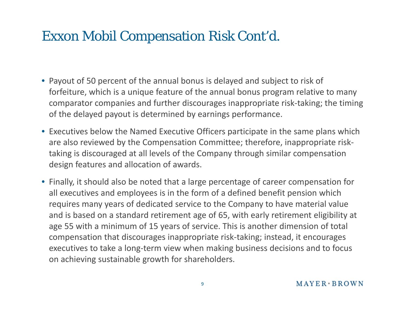### Exxon Mobil Compensation Risk Cont'd.

- Payout of 50 percent of the annual bonus is delayed and subject to risk of forfeiture, which is a unique feature of the annual bonus program relative to many comparator companies and further discourages inappropriate risk‐taking; the timing of the delayed payout is determined by earnings performance.
- Executives below the Named Executive Officers participate in the same plans which are also reviewed by the Compensation Committee; therefore, inappropriate risk‐ taking is discouraged at all levels of the Company through similar compensation design features and allocation of awards.
- Finally, it should also be noted that a large percentage of career compensation for all executives and employees is in the form of a defined benefit pension which requires many years of dedicated service to the Company to have material value and is based on a standard retirement age of 65, with early retirement eligibility at age 55 with a minimum of 15 years of service. This is another dimension of total compensation that discourages inappropriate risk‐taking; instead, it encourages executives to take a long‐term view when making business decisions and to focus on achieving sustainable growth for shareholders.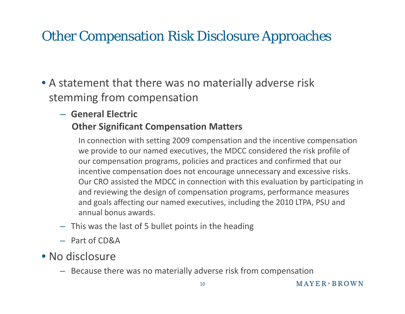## Other Compensation Risk Disclosure Approaches

• A statement that there was no materially adverse risk stemming from compensation

#### – **General Electric Other Significant Compensation Matters**

In connection with setting 2009 compensation and the incentive compensation we provide to our named executives, the MDCC considered the risk profile of our compensation programs, policies and practices and confirmed that our incentive compensation does not encourage unnecessary and excessive risks. Our CRO assisted the MDCC in connection with this evaluation by participating in and reviewing the design of compensation programs, performance measures and goals affecting our named executives, including the 2010 LTPA, PSU and annual bonus awards.

- This was the last of 5 bullet points in the heading
- Part of CD&A
- No disclosure
	- Because there was no materially adverse risk from compensation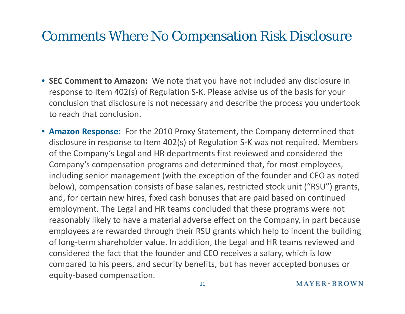### Comments Where No Compensation Risk Disclosure

- **SEC Comment to Amazon:** We note that you have not included any disclosure in response to Item 402(s) of Regulation S‐K. Please advise us of the basis for your conclusion that disclosure is not necessary and describe the process you undertook to reach that conclusion.
- **Amazon Response:** For the 2010 Proxy Statement, the Company determined that disclosure in response to Item 402(s) of Regulation S‐K was not required. Members of the Company's Legal and HR departments first reviewed and considered the Company's compensation programs and determined that, for most employees, including senior management (with the exception of the founder and CEO as noted below), compensation consists of base salaries, restricted stock unit ("RSU") grants, and, for certain new hires, fixed cash bonuses that are paid based on continued employment. The Legal and HR teams concluded that these programs were not reasonably likely to have a material adverse effect on the Company, in part because employees are rewarded through their RSU grants which help to incent the building of long‐term shareholder value. In addition, the Legal and HR teams reviewed and considered the fact that the founder and CEO receives a salary, which is low compared to his peers, and security benefits, but has never accepted bonuses or equity‐based compensation.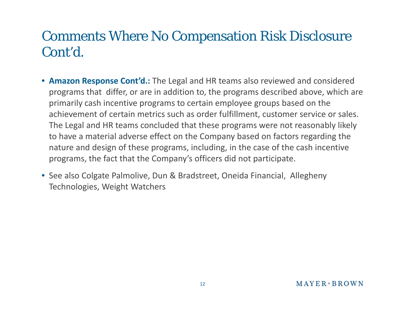### Comments Where No Compensation Risk Disclosure Cont'd.

- **Amazon Response Cont'd.:** The Legal and HR teams also reviewed and considered programs that differ, or are in addition to, the programs described above, which are primarily cash incentive programs to certain employee groups based on the achievement of certain metrics such as order fulfillment, customer service or sales. The Legal and HR teams concluded that these programs were not reasonably likely to have a material adverse effect on the Company based on factors regarding the nature and design of these programs, including, in the case of the cash incentive programs, the fact that the Company's officers did not participate.
- See also Colgate Palmolive, Dun & Bradstreet, Oneida Financial, Allegheny Technologies, Weight Watchers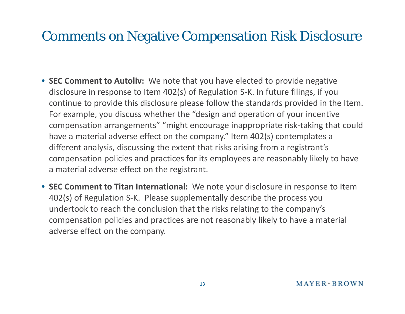### Comments on Negative Compensation Risk Disclosure

- **SEC Comment to Autoliv:** We note that you have elected to provide negative disclosure in response to Item 402(s) of Regulation S‐K. In future filings, if you continue to provide this disclosure please follow the standards provided in the Item. For example, you discuss whether the "design and operation of your incentive compensation arrangements" "might encourage inappropriate risk‐taking that could have a material adverse effect on the company." Item 402(s) contemplates a different analysis, discussing the extent that risks arising from a registrant's compensation policies and practices for its employees are reasonably likely to have a material adverse effect on the registrant.
- **SEC Comment to Titan International:** We note your disclosure in response to Item 402(s) of Regulation S‐K. Please supplementally describe the process you undertook to reach the conclusion that the risks relating to the company's compensation policies and practices are not reasonably likely to have a material adverse effect on the company.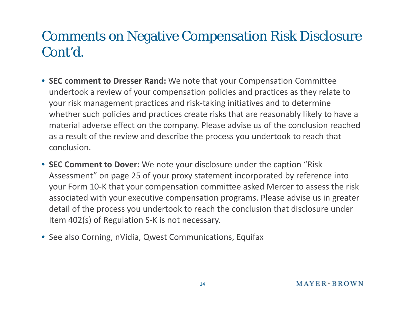### Comments on Negative Compensation Risk Disclosure Cont'd.

- **SEC comment to Dresser Rand:** We note that your Compensation Committee undertook a review of your compensation policies and practices as they relate to your risk management practices and risk‐taking initiatives and to determine whether such policies and practices create risks that are reasonably likely to have a material adverse effect on the company. Please advise us of the conclusion reached as a result of the review and describe the process you undertook to reach that conclusion.
- **SEC Comment to Dover:** We note your disclosure under the caption "Risk Assessment " on page 25 of your proxy statement incorporated by reference into your Form 10‐K that your compensation committee asked Mercer to assess the risk associated with your executive compensation programs. Please advise us in greater detail of the process you undertook to reach the conclusion that disclosure under Item 402(s) of Regulation S‐K is not necessary.
- See also Corning, nVidia, Qwest Communications, Equifax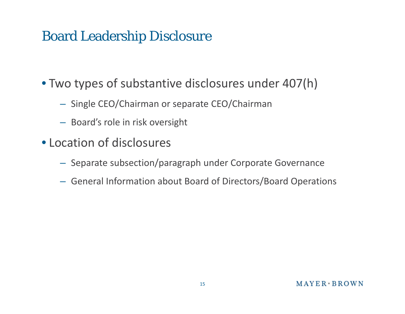### Board Leadership Disclosure

- Two types of substantive disclosures under 407(h)
	- Single CEO/Chairman or separate CEO/Chairman
	- Board's role in risk oversight
- Location of disclosures
	- Separate subsection/paragraph under Corporate Governance
	- General Information about Board of Directors/Board Operations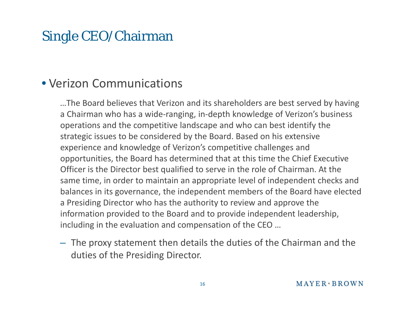### Single CEO/Chairman

#### • Verizon Communications

…The Board believes that Verizon and its shareholders are best served by having a Chairman who has <sup>a</sup> wide‐ranging, in‐depth knowledge of Verizon's business operations and the competitive landscape and who can best identify the strategic issues to be considered by the Board. Based on his extensive experience and knowledge of Verizon's competitive challenges and opportunities, the Board has determined that at this time the Chief Executive Officer is the Director best qualified to serve in the role of Chairman. At the same time, in order to maintain an appropriate level of independent checks and balances in its governance, the independent members of the Board have elected a Presiding Director who has the authority to review and approve the information provided to the Board and to provide independent leadership, including in the evaluation and compensation of the CEO …

– The proxy statement then details the duties of the Chairman and the duties of the Presiding Director.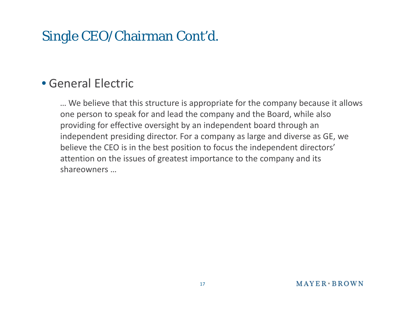## Single CEO/Chairman Cont'd.

#### • General Electric

… We believe that this structure is appropriate for the company because it allows one person to speak for and lead the company and the Board, while also providing for effective oversight by an independent board through an independent presiding director. For a company as large and diverse as GE, we believe the CEO is in the best position to focus the independent directors' attention on the issues of greatest importance to the company and its shareowners…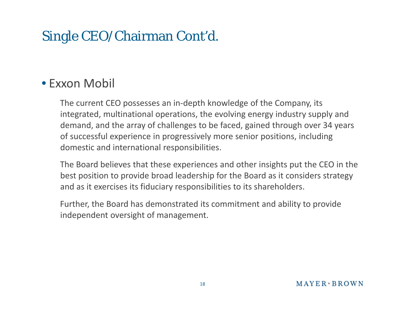## Single CEO/Chairman Cont'd.

#### • Exxon Mobil

The current CEO possesses an in‐depth knowledge of the Company, its integrated, multinational operations, the evolving energy industry supply and demand, and the array of challenges to be faced, gained through over 34 years of successful experience in progressively more senior positions, including domestic and international responsibilities.

The Board believes that these experiences and other insights put the CEO in the best position to provide broad leadership for the Board as it considers strategy and as it exercises its fiduciary responsibilities to its shareholders.

Further, the Board has demonstrated its commitment and ability to provide independent oversight of management.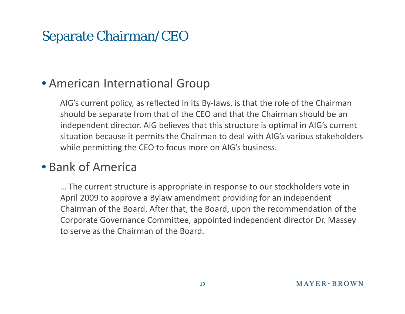### Separate Chairman/CEO

#### • American International Group

AIG's current policy, as reflected in its By‐laws, is that the role of the Chairman should be separate from that of the CEO and that the Chairman should be an independent director. AIG believes that this structure is optimal in AIG's current situation because it permits the Chairman to deal with AIG's various stakeholders while permitting the CEO to focus more on AIG's business.

#### • Bank of America

… The current structure is appropriate in response to our stockholders vote in April 2009 to approve a Bylaw amendment providing for an independent Chairman of the Board. After that, the Board, upon the recommendation of the Corporate Governance Committee, appointed independent director Dr. Massey to serve as the Chairman of the Board.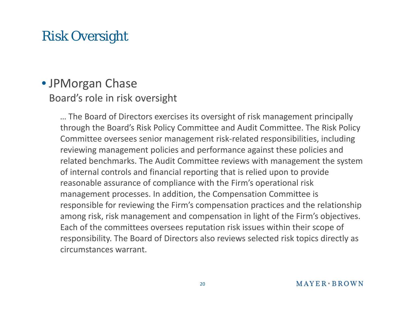## Risk Oversight

#### • JPMorgan Chase Board's role in risk oversight

… The Board of Directors exercises its oversight of risk management principally through the Board's Risk Policy Committee and Audit Committee. The Risk Policy Committee oversees senior management risk-related responsibilities, including reviewing management policies and performance against these policies and related benchmarks. The Audit Committee reviews with management the system of internal controls and financial reporting that is relied upon to provide reasonable assurance of compliance with the Firm's operational risk management processes. In addition, the Compensation Committee is responsible for reviewing the Firm's compensation practices and the relationship among risk, risk management and compensation in light of the Firm's objectives. Each of the committees oversees reputation risk issues within their scope of responsibility. The Board of Directors also reviews selected risk topics directly as circumstances warrant.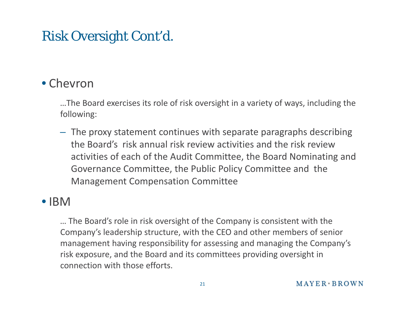### Risk Oversight Cont'd.

#### • Chevron

…The Board exercises its role of risk oversight in <sup>a</sup> variety of ways, including the following:

 $-$  The proxy statement continues with separate paragraphs describing the Board's risk annual risk review activities and the risk review activities of each of the Audit Committee, the Board Nominating and Governance Committee, the Public Policy Committee and the Management Compensation Committee

#### • IBM

… The Board's role in risk oversight of the Company is consistent with the Company's leadership structure, with the CEO and other members of senior management having responsibility for assessing and managing the Company's risk exposure, and the Board and its committees providing oversight in connection with those efforts.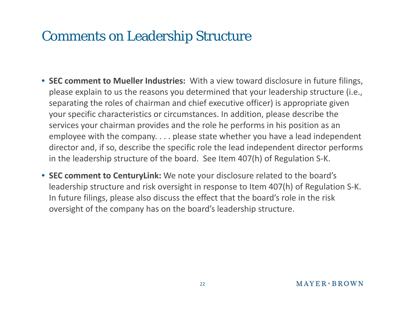### Comments on Leadership Structure

- **SEC comment to Mueller Industries:** With a view toward disclosure in future filings, please explain to us the reasons you determined that your leadership structure (i.e., separating the roles of chairman and chief executive officer) is appropriate given your specific characteristics or circumstances. In addition, please describe the services your chairman provides and the role he performs in his position as an employee with the company. . . . please state whether you have a lead independent director and, if so, describe the specific role the lead independent director performs in the leadership structure of the board. See Item 407(h) of Regulation S‐K.
- **SEC comment to CenturyLink:** We note your disclosure related to the board's leadership structure and risk oversight in response to Item 407(h) of Regulation S‐K. In future filings, please also discuss the effect that the board's role in the risk oversight of the company has on the board's leadership structure.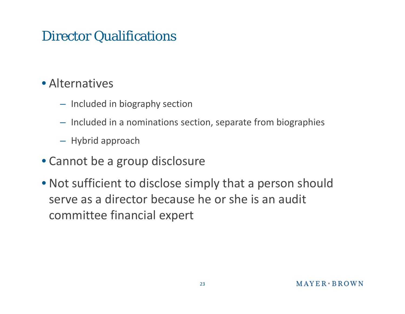### Director Qualifications

#### • Alternatives

- Included in biography section
- Included in <sup>a</sup> nominations section, separate from biographies
- Hybrid approach
- Cannot be <sup>a</sup> group disclosure
- Not sufficient to disclose simply that <sup>a</sup> person should serve as <sup>a</sup> director because he or she is an audit committee financial expert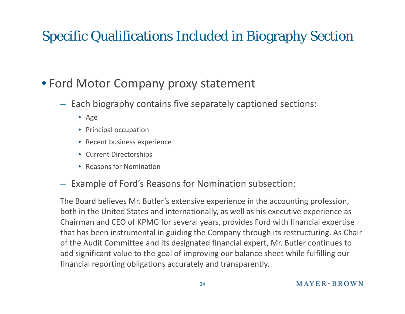# Specific Qualifications Included in Biography Section

### • Ford Motor Company proxy statement

- Each biography contains five separately captioned sections:
	- Age
	- Principal occupation
	- Recent business experience
	- Current Directorships
	- Reasons for Nomination
- Example of Ford's Reasons for Nomination subsection:

The Board believes Mr. Butler's extensive experience in the accounting profession, both in the United States and internationally, as well as his executive experience as Chairman and CEO of KPMG for several years, provides Ford with financial expertise that has been instrumental in guiding the Company through its restructuring. As Chair of the Audit Committee and its designated financial expert, Mr. Butler continues to add significant value to the goal of improving our balance sheet while fulfilling our financial reporting obligations accurately and transparently.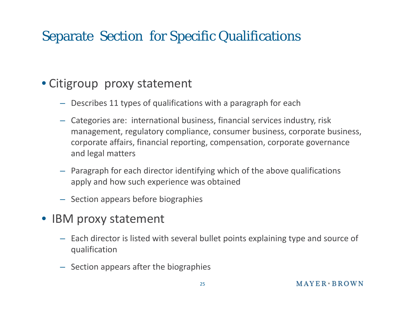## Separate Section for Specific Qualifications

#### • Citigroup proxy statement

- Describes 11 types of qualifications with a paragraph for each
- Categories are: international business, financial services industry, risk management, regulatory compliance, consumer business, corporate business, corporate affairs, financial reporting, compensation, corporate governance and legal matters
- Paragraph for each director identifying which of the above qualifications apply and how such experience was obtained
- Section appears before biographies
- IBM proxy statement
	- Each director is listed with several bullet points explaining type and source of qualification
	- Section appears after the biographies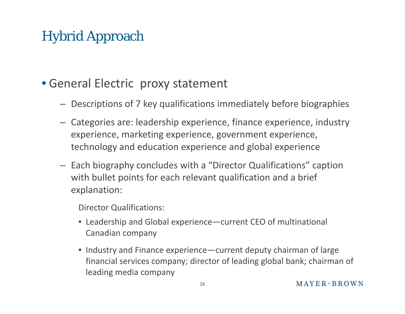# Hybrid Approach

#### • General Electric proxy statement

- Descriptions of 7 key qualifications immediately before biographies
- Categories are: leadership experience, finance experience, industry experience, marketing experience, government experience, technology and education experience and global experience
- Each biography concludes with <sup>a</sup> "Director Qualifications" caption with bullet points for each relevant qualification and <sup>a</sup> brief explanation:

Director Qualifications:

- Leadership and Global experience—current CEO of multinational Canadian company
- Industry and Finance experience—current deputy chairman of large financial services company; director of leading global bank; chairman of leading media company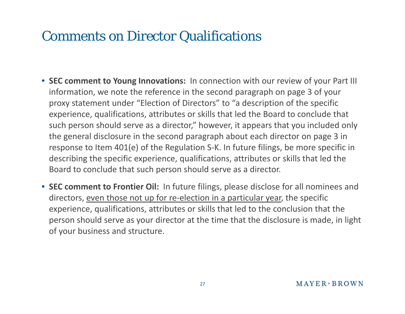### Comments on Director Qualifications

- **SEC comment to Young Innovations:** In connection with our review of your Part III information, we note the reference in the second paragraph on page 3 of your proxy statement under "Election of Directors" to "a description of the specific experience, qualifications, attributes or skills that led the Board to conclude that such person should serve as a director," however, it appears that you included only the general disclosure in the second paragraph about each director on page 3 in response to Item 401(e) of the Regulation S‐K. In future filings, be more specific in describing the specific experience, qualifications, attributes or skills that led the Board to conclude that such person should serve as a director.
- **SEC comment to Frontier Oil:** In future filings, please disclose for all nominees and directors, <u>even those not up for re-election in a particular year</u>, the specific experience, qualifications, attributes or skills that led to the conclusion that the person should serve as your director at the time that the disclosure is made, in light of your business and structure.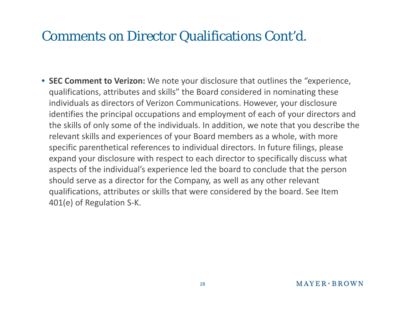### Comments on Director Qualifications Cont'd.

• **SEC Comment to Verizon:** We note your disclosure that outlines the "experience, qualifications, attributes and skills" the Board considered in nominating these individuals as directors of Verizon Communications. However, your disclosure identifies the principal occupations and employment of each of your directors and the skills of only some of the individuals. In addition, we note that you describe the relevant skills and experiences of your Board members as a whole, with more specific parenthetical references to individual directors. In future filings, please expand your disclosure with respect to each director to specifically discuss what aspects of the individual's experience led the board to conclude that the person should serve as a director for the Company, as well as any other relevant qualifications, attributes or skills that were considered by the board. See Item 401(e) of Regulation S‐K.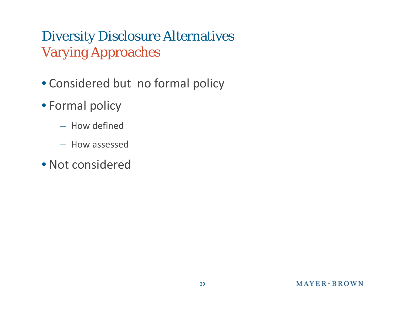## Diversity Disclosure Alternatives Varying Approaches

- Considered but no formal policy
- Formal policy
	- How defined
	- How assessed
- Not considered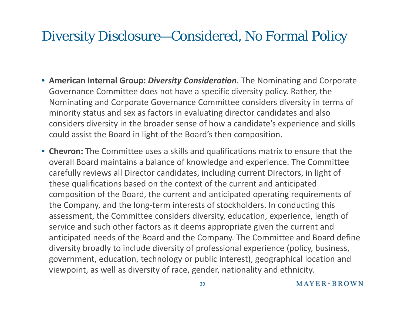### Diversity Disclosure—Considered, No Formal Policy

- **American Internal Group:** *Diversity Consideration.* The Nominating and Corporate Governance Committee does not have a specific diversity policy. Rather, the Nominating and Corporate Governance Committee considers diversity in terms of minority status and sex as factors in evaluating director candidates and also considers diversity in the broader sense of how a candidate's experience and skills could assist the Board in light of the Board's then composition.
- **Chevron:** The Committee uses a skills and qualifications matrix to ensure that the overall Board maintains a balance of knowledge and experience. The Committee carefully reviews all Director candidates, including current Directors, in light of these qualifications based on the context of the current and anticipated composition of the Board, the current and anticipated operating requirements of the Company, and the long‐term interests of stockholders. In conducting this assessment, the Committee considers diversity, education, experience, length of service and such other factors as it deems appropriate given the current and anticipated needs of the Board and the Company. The Committee and Board define diversity broadly to include diversity of professional experience (policy, business, government, education, technology or public interest), geographical location and viewpoint, as well as diversity of race, gender, nationality and ethnicity.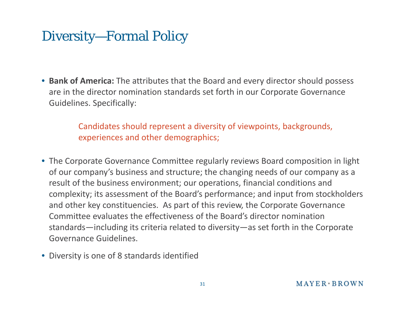### Diversity—Formal Policy

• **Bank of America:** The attributes that the Board and every director should possess are in the director nomination standards set forth in our Corporate Governance Guidelines. Specifically:

> Candidates should represent a diversity of viewpoints, backgrounds, experiences and other demographics;

- The Corporate Governance Committee regularly reviews Board composition in light of our company's business and structure; the changing needs of our company as a result of the business environment; our operations, financial conditions and complexity; its assessment of the Board's performance; and input from stockholders and other key constituencies. As part of this review, the Corporate Governance Committee evaluates the effectiveness of the Board's director nomination standards—including its criteria related to diversity—as set forth in the Corporate Governance Guidelines.
- Diversity is one of 8 standards identified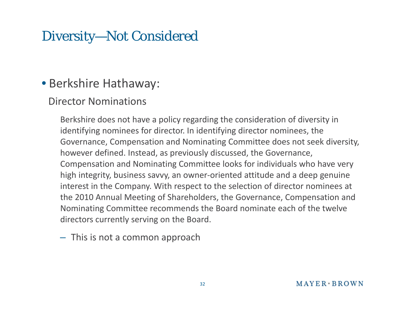### Diversity—Not Considered

#### • Berkshire Hathaway:

#### Director Nominations

Berkshire does not have a policy regarding the consideration of diversity in identifying nominees for director. In identifying director nominees, the Governance, Compensation and Nominating Committee does not seek diversity, however defined. Instead, as previously discussed, the Governance, Compensation and Nominating Committee looks for individuals who have very high integrity, business savvy, an owner-oriented attitude and a deep genuine interest in the Company. With respect to the selection of director nominees at the 2010 Annual Meeting of Shareholders, the Governance, Compensation and Nominating Committee recommends the Board nominate each of the twelve directors currently serving on t h e Boar d.

– This is not a common approach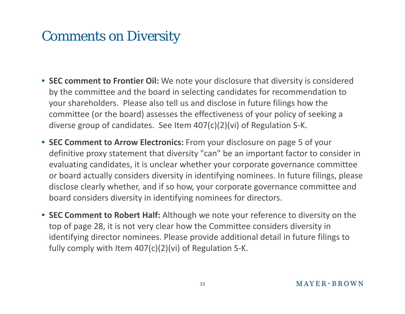### Comments on Diversity

- **SEC comment to Frontier Oil:** We note your disclosure that diversity is considered by the committee and the board in selecting candidates for recommendation to your shareholders. Please also tell us and disclose in future filings how the committee (or the board) assesses the effectiveness of your policy of seeking a diverse group of candidates. See Item 407(c)(2)(vi) of Regulation S‐K.
- **SEC Comment to Arrow Electronics:** From your disclosure on page 5 of your definitive proxy statement that diversity "can" be an important factor to consider in evaluating candidates, it is unclear whether your corporate governance committee or board actually considers diversity in identifying nominees. In future filings, please disclose clearly whether, and if so how, your corporate governance committee and board considers diversity in identifying nominees for directors.
- **SEC Comment to Robert Half:** Although we note your reference to diversity on the top of page 28, it is not very clear how the Committee considers diversity in identifying director nominees. Please provide additional detail in future filings to fully comply with Item 407(c)(2)(vi) of Regulation S‐K.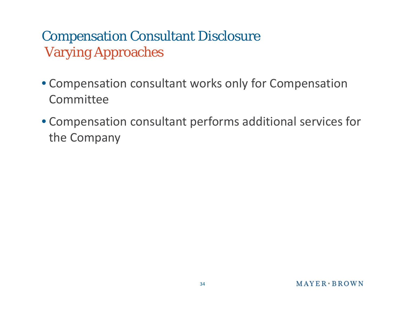# Compensation Consultant Disclosure Varying Approaches

- Compensation consultant works only for Compensation **Committee**
- Compensation consultant performs additional services for the Company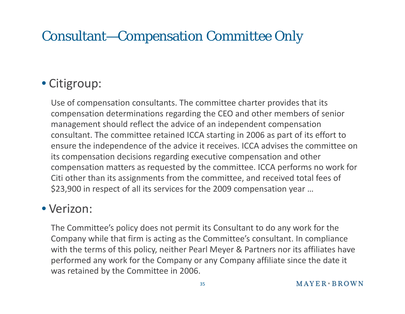## Consultant—Compensation Committee Only

### • Citigroup:

Use of compensation consultants. The committee charter provides that its compensation determinations regarding the CEO and other members of senior management should reflect the advice of an independent compensation consultant. The committee retained ICCA starting in 2006 as part of its effort to ensure the independence of the advice it receives. ICCA advises the committee on its compensation decisions regarding executive compensation and other compensation matters as requested by the committee. ICCA performs no work for Citi other than its assignments from the committee, and received total fees of \$23,900 in respect of all its services for the 2009 compensation year …

#### • Verizon:

The Committee's policy does not permit its Consultant to do any work for the Company while that firm is acting as the Committee's consultant. In compliance with the terms of this policy, neither Pearl Meyer & Partners nor its affiliates have performed any work for the Company or any Company affiliate since the date it was retained by the Committee in 2006.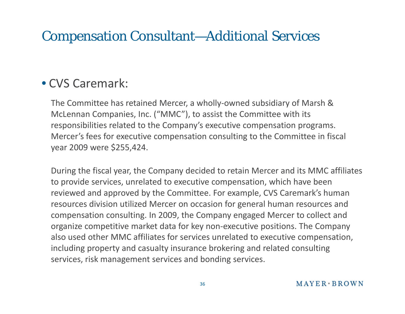### Compensation Consultant—Additional Services

#### • CVS Caremark:

The Committee has retained Mercer, a wholly‐owned subsidiary of Marsh & McLennan Companies, Inc. ("MMC"), to assist the Committee with its responsibilities related to the Company's executive compensation programs. Mercer's fees for executive compensation consulting to the Committee in fiscal year 2009 were \$255,424.

During the fiscal year, the Company decided to retain Mercer and its MMC affiliates to provide services, unrelated to executive compensation, which have been reviewed and approved by the Committee. For example, CVS Caremark's human resources division utilized Mercer on occasion for general human resources and compensation consulting. In 2009, the Company engaged Mercer to collect and organize competitive market data for key non‐executive positions. The Company also used other MMC affiliates for services unrelated to executive compensation, including property and casualty insurance brokering and related consulting services, risk management services and bonding services.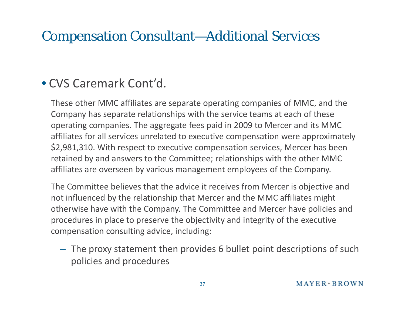### Compensation Consultant—Additional Services

#### • CVS Caremark Cont'd.

These other MMC affiliates are separate operating companies of MMC, and the Company has separate relationships with the service teams at each of these operating companies. The aggregate fees paid in 2009 to Mercer and its MMC affiliates for all services unrelated to executive compensation were approximately \$2,981,310. With respect to executive compensation services, Mercer has been retained by and answers to the Committee; relationships with the other MMC affiliates are overseen by various management employees of the Company.

The Committee believes that the advice it receives from Mercer is objective and not influenced by the relationship that Mercer and the MMC affiliates might otherwise have with the Company. The Committee and Mercer have policies and procedures in place to preserve the objectivity and integrity of the executive compensation consulting advice, including:

– The proxy statement then provides 6 bullet point descriptions of such policies and procedures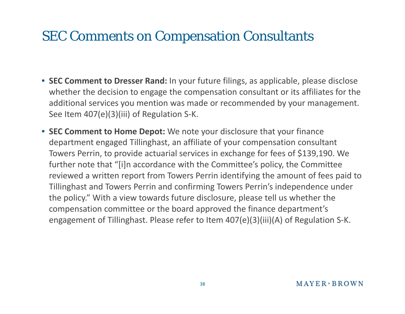### SEC Comments on Compensation Consultants

- **SEC Comment to Dresser Rand:** In your future filings, as applicable, please disclose whether the decision to engage the compensation consultant or its affiliates for the additional services you mention was made or recommended by your management. See Item 407(e)(3)(iii) of Regulation S‐K.
- **SEC Comment to Home Depot:** We note your disclosure that your finance department engaged Tillinghast, an affiliate of your compensation consultant Towers Perrin, to provide actuarial services in exchange for fees of \$139,190. We further note that "[i]n accordance with the Committee's policy, the Committee reviewed a written report from Towers Perrin identifying the amount of fees paid to Tillinghast and Towers Perrin and confirming Towers Perrin's independence under the policy." With a view towards future disclosure, please tell us whether the compensation committee or the board approved the finance department's engagement of Tillinghast. Please refer to Item 407(e)(3)(iii)(A) of Regulation S‐K.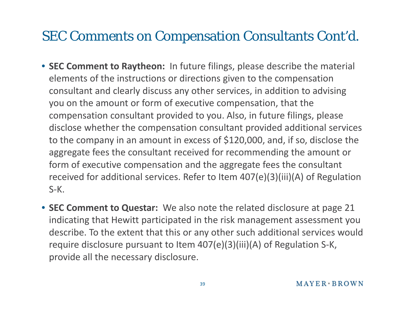### SEC Comments on Compensation Consultants Cont'd.

- **SEC Comment to Raytheon:** In future filings, please describe the material elements of the instructions or directions given to the compensation consultant and clearly discuss any other services, in addition to advising you on the amount or form of executive compensation, that the compensation consultant provided to you. Also, in future filings, please disclose whether the compensation consultant provided additional services to the company in an amount in excess of \$120,000, and, if so, disclose the aggregate fees the consultant received for recommending the amount or form of executive compensation and the aggregate fees the consultant received for additional services. Refer to Item 407(e)(3)(iii)(A) of Regulation S‐K.
- **SEC Comment to Questar:** We also note the related disclosure at page 21 indicating that Hewitt participated in the risk management assessment you describe. To the extent that this or any other such additional services would require disclosure pursuant to Item 407(e)(3)(iii)(A) of Regulation S ‐K, provide all the necessary disclosure.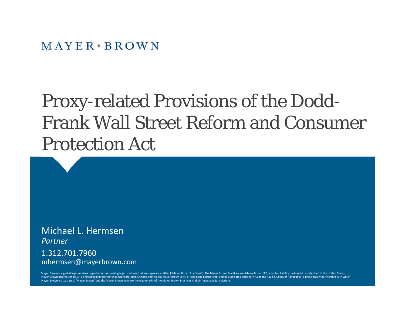$MAYER*BROMN$ 

# Proxy-related Provisions of the Dodd-Frank Wall Street Reform and Consumer Protection Act

Michael L. Hermsen*Partner*

1.312.701.7960mhermsen@mayerbrown.com

Mayer Brown is a global legal services organization comprising legal practices that are separate entities ("Mayer Brown Practices"). The Mayer Brown Practices are: Mayer Brown LLP, a limited liability partnership establish Mayer Brown International LLP, a limited liability partnership incorporated in England and Wales; Mayer Brown JSM, a Hong Kong partnership, and its associated entities in Asia; and Tauil & Chequer Advogados, a Brazilian la Mayer Brown is associated. "Mayer Brown" and the Mayer Brown logo are the trademarks of the Mayer Brown Practices in their respective jurisdictions.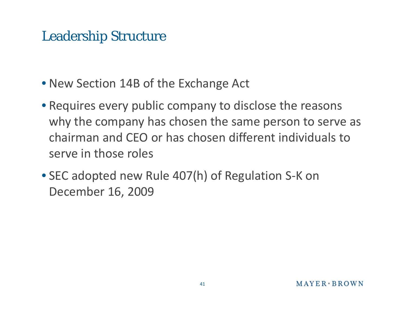### Leadership Structure

- New Section 14B of the Exchange Act
- Requires every public company to disclose the reasons why the company has chosen the same person to serve as chairman and CEO or has chosen different individuals to serve in those roles
- SEC adopted new Rule 407(h) of Regulation S‐K on December 16, 2009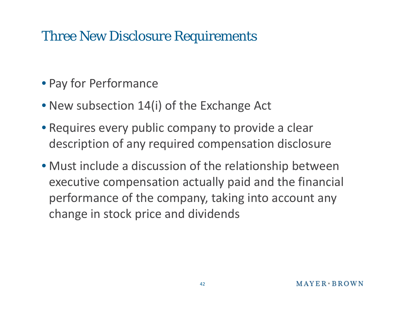### Three New Disclosure Requirements

- Pay for Performance
- New subsection 14(i) of the Exchange Act
- Requires every public company to provide a clear description of any required compensation disclosure
- Must include a discussion of the relationship between executive compensation actually paid and the financial performance of the company, taking into account any change in stock price and dividends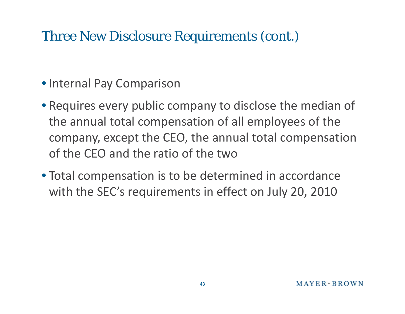### Three New Disclosure Requirements (cont.)

- Internal Pay Comparison
- Requires every public company to disclose the median of the annual total compensation of all employees of the company, except the CEO, the annual total compensation of the CEO and the ratio of the two
- Total compensation is to be determined in accordance with the SEC's requirements in effect on July 20, 2010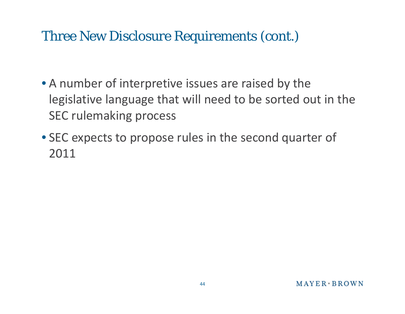### Three New Disclosure Requirements (cont.)

- A number of interpretive issues are raised by the legislative language that will need to be sorted out in the SEC rulemaking process
- SEC expects to propose rules in the second quarter of 2011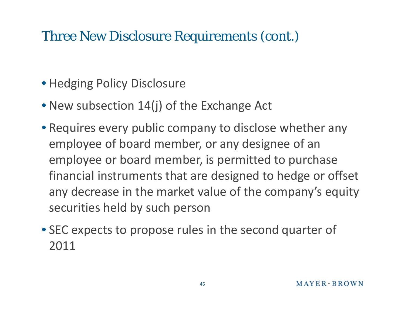### Three New Disclosure Requirements (cont.)

- Hedging Policy Disclosure
- New subsection 14(j) of the Exchange Act
- Requires every public company to disclose whether any employee of board member, or any designee of an employee or board member, is permitted to purchase financial instruments that are designed to hedge or offset any decrease in the market value of the company's equity securities held by such person
- SEC expects to propose rules in the second quarter of 2011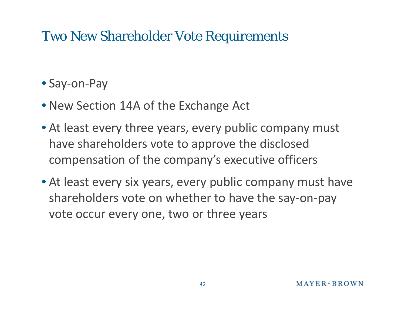### Two New Shareholder Vote Requirements

- Say-on-Pay
- New Section 14A of the Exchange Act
- At least every three years, every public company must have shareholders vote to approve the disclosed compensation of the company's executive officers
- At least every six years, every public company must have shareholders vote on whether to have the say ‐on ‐pay vote occur every one, two or three years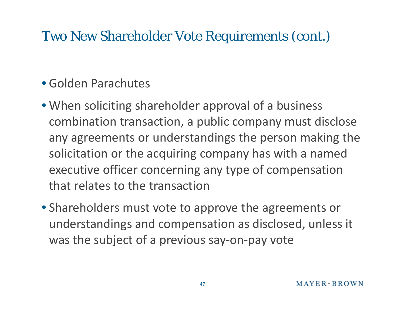### Two New Shareholder Vote Requirements (cont.)

#### • Golden Parachutes

- When soliciting shareholder approval of a business combination transaction, a public company must disclose any agreements or understandings the person making the solicitation or the acquiring company has with a named executive officer concerning any type of compensation that relates to the transaction
- Shareholders must vote to approve the agreements or understandings and compensation as disclosed, unless it was the subject of a previous say ‐on ‐pay vote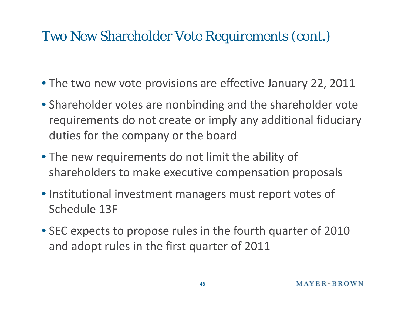### Two New Shareholder Vote Requirements (cont.)

- The two new vote provisions are effective January 22, 2011
- Shareholder votes are nonbinding and the shareholder vote requirements do not create or imply any additional fiduciary duties for the company or the board
- The new requirements do not limit the ability of shareholders to make executive com pensation p p ro posals
- Institutional investment managers must report votes of Schedule 13F
- SEC expects to propose rules in the fourth quarter of 2010 and adopt rules in the first quarter of 2011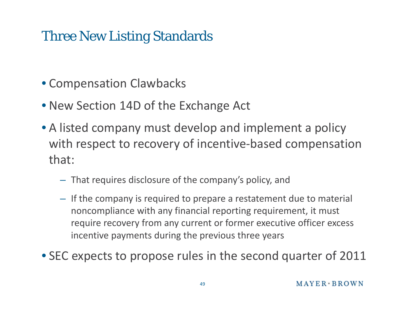### Three New Listing Standards

- Compensation Clawbacks
- New Section 14D of the Exchange Act
- A listed company must develop and implement a policy with respect to recovery of incentive ‐based compensation that:
	- $-$  That requires disclosure of the company's policy, and
	- If the company is required to prepare a restatement due to material noncompliance with any financial reporting requirement, it must require recovery from any current or former executive officer excess incentive payments during the previous three years

• SEC expects to propose rules in the second quarter of 2011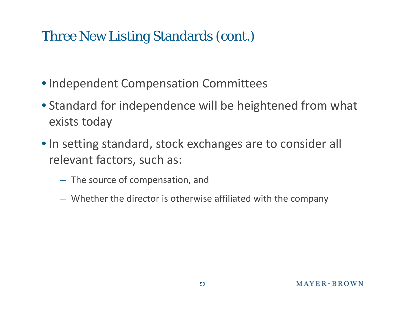### Three New Listing Standards (cont.)

- Independent Compensation Committees
- Standard for independence will be heightened from what exists today
- In setting standard, stock exchanges are to consider all relevant factors, such as:
	- T h e source o f compensation, an d
	- Whether the director is otherwise affiliated with the company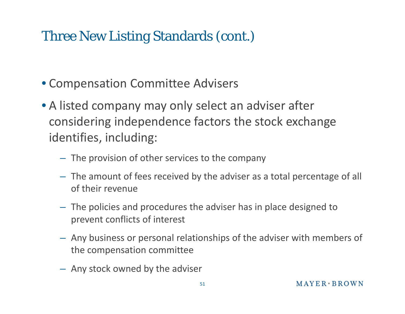### Three New Listing Standards (cont.)

- Compensation Committee Advisers
- A listed company may only select an adviser after considering independence factors the stock exchange identifies, including:
	- The provision of other services to the company
	- The amount of fees received by the adviser as a total percentage of all of their revenue
	- The policies and procedures the adviser has in place designed to prevent conflicts o f interest
	- Any business or personal relationships of the adviser with members of the compensation committee
	- Any stock owned by the adviser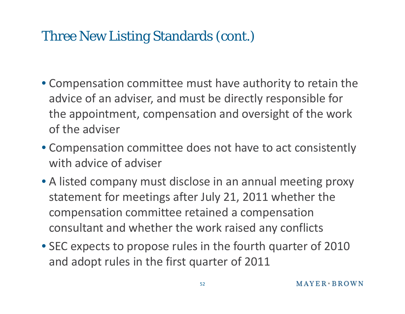### Three New Listing Standards (cont.)

- Compensation committee must have authority to retain the advice of an adviser, and must be directly responsible for the appointment, compensation and oversight of the work of the adviser
- Compensation committee does not have to act consistently with advice of adviser
- A listed company must disclose in an annual meeting proxy statement for meetings after July 21, 2011 whether the compensation committee retained a compensation consultant and whether the work raised any conflicts
- SEC expects to propose rules in the fourth quarter of 2010 and adopt rules in the first quarter of 2011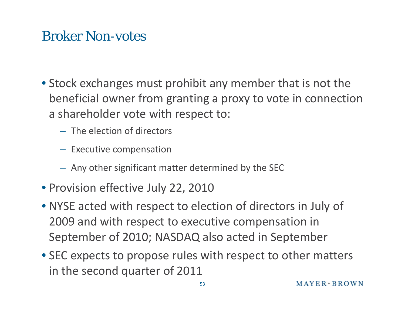### Broker Non-votes

- Stock exchanges must prohibit any member that is not the beneficial owner from granting <sup>a</sup> proxy to vote in connection a shareholder vote with respect to:
	- The election of directors
	- Executive compensation
	- Any other significant matter determined by the SEC
- Provision effective July 22, 2010
- NYSE acted with respect to election of directors in July of 2009 and with respect to executive compensation in September of 2010; NASDAQ also acted in September
- SEC expects to propose rules with respect to other matters in the second quarter of 2011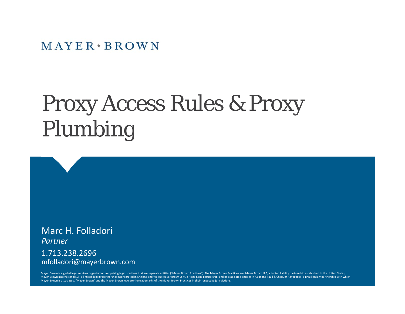$MAYER * BROWN$ 

#### Proxy Access Rules & Proxy  $\mathbf u$ les & Proxy Plum bing

Marc H. Folladori *Partner*

1.713.238.2696mfolladori@mayerbrown.com

Mayer Brown is a global legal services organization comprising legal practices that are separate entities ("Mayer Brown Practices"). The Mayer Brown Practices are: Mayer Brown LLP, a limited liability partnership establish Mayer Brown International LLP, a limited liability partnership incorporated in England and Wales; Mayer Brown JSM, a Hong Kong partnership, and its associated entities in Asia; and Tauil & Chequer Advogados, a Brazilian la Mayer Brown is associated. "Mayer Brown" and the Mayer Brown logo are the trademarks of the Mayer Brown Practices in their respective jurisdictions.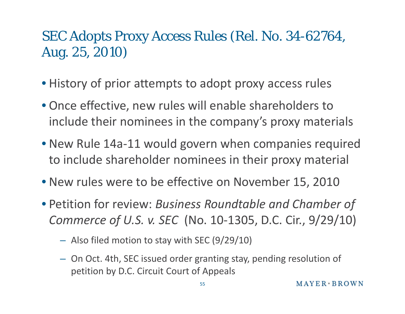### SEC Adopts Proxy Access Rules (Rel. No. 34-62764, Aug. 25, 2010)

- History of prior attempts to adopt proxy access rules
- Once effective, new rules will enable shareholders to include their nominees in the company's proxy materials
- New Rule 14a ‐11 would govern when companies required to include shareholder nominees in their proxy material
- New rules were to be effective on November 15, 2010
- Petition for review: *Business Roundtable and Chamber of Commerce of U.S. v. SEC* (No. 10-1305, D.C. Cir., 9/29/10)
	- Also filed motion to stay with SEC (9/29/10)
	- On Oct. 4th, SEC issued order granting stay, pending resolution of petition by D.C. Circuit Court of Appeals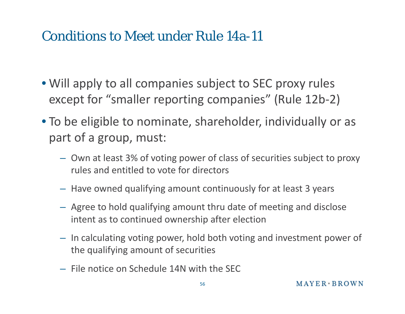- Will apply to all companies subject to SEC proxy rules except for "smaller reporting companies" (Rule 12b ‐2)
- To be eligible to nominate, shareholder, individually or as part of a group, must:
	- Own at least 3% of voting power of class of securities subject to proxy rules and entitled to vote for directors
	- Have owned qualifying amount continuously for at least 3 years
	- Agree to hold qualifying amount thru date of meeting and disclose intent as to continued ownership after election
	- In calculating voting power, hold both voting and investment power of the qualifying amount of securities
	- File notice on Schedule 14N with the SEC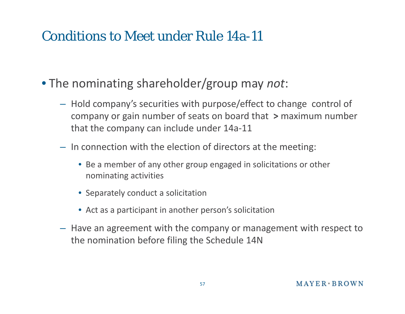- The nominating shareholder/group may *not*:
	- $-$  Hold company's securities with purpose/effect to change control of company or gain number of seats on board that **>** maximum number that the company can include under 14a ‐11
	- In connection with the election of directors at the meeting:
		- Be a member of any other group engaged in solicitations or other nominating activities
		- Separately conduct a solicitation
		- Act as a participant in another person's solicitation
	- Have an agreement with the company or management with respect to the nomination before filing the Schedule 14N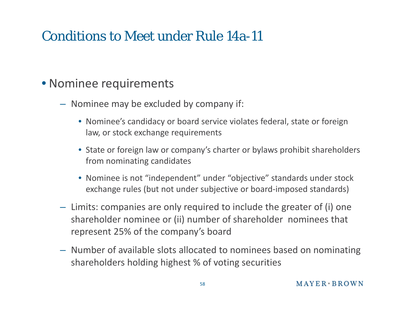#### • Nominee requirements

- Nominee may be excluded by company if:
	- Nominee's candidacy or board service violates federal, state or foreign law, or stock exchan g e re quirements
	- State or foreign law or company's charter or bylaws prohibit shareholders from nominating candidates
	- Nominee is not "independent" under "objective" standards under stock exchange rules (but not under subjective or board‐imposed standards)
- Limits: companies are only required to include the greater of (i) one shareholder nominee or (ii) number of shareholder nominees that represent 25% of the company's board
- Number of available slots allocated to nominees based on nominating shareholders holding highest % of voting securities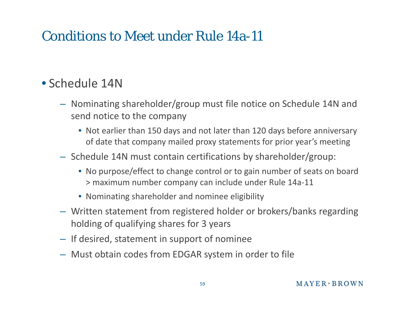#### • Schedule 14N

- Nominating shareholder/group must file notice on Schedule 14N and send notice to the company
	- Not earlier than 150 days and not later than 120 days before anniversary of date that company mailed proxy statements for prior year's meeting
- Schedule 14N must contain certifications by shareholder/group:
	- No purpose/effect to change control or to gain number of seats on board > maximum number company can include under Rule 14a‐11
	- Nominating shareholder and nominee eligibility
- Written statement from registered holder or brokers/banks regarding holding of qualifying shares for 3 years
- If desired, statement in support of nominee
- Must obtain codes from EDGAR system in order to file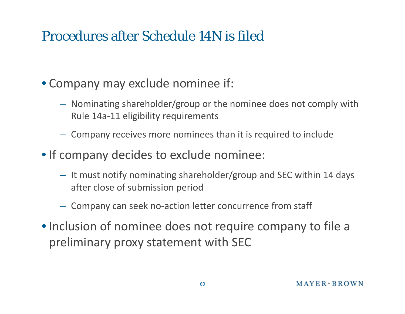# Procedures after Schedule 14N is filed

- Company may exclude nominee if:
	- Nominating shareholder/group or the nominee does not comply with Rule 14a ‐11 eligibility requirements
	- Company receives more nominees than it is required to include
- If company decides to exclude nominee:
	- $-$  It must notify nominating shareholder/group and SEC within 14 days after close of submission period
	- $-$  Company can seek no-action letter concurrence from staff
- Inclusion of nominee does not require company to file a preliminary proxy statement with SEC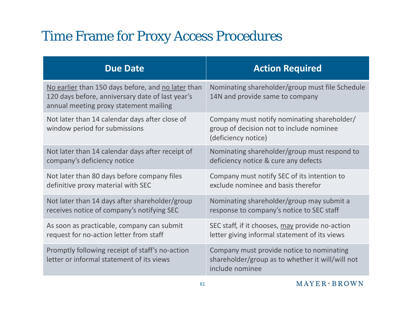## Time Frame for Proxy Access Procedures

| <b>Due Date</b>                                                                                                                                  | <b>Action Required</b>                                                                                           |
|--------------------------------------------------------------------------------------------------------------------------------------------------|------------------------------------------------------------------------------------------------------------------|
| No earlier than 150 days before, and no later than<br>120 days before, anniversary date of last year's<br>annual meeting proxy statement mailing | Nominating shareholder/group must file Schedule<br>14N and provide same to company                               |
| Not later than 14 calendar days after close of<br>window period for submissions                                                                  | Company must notify nominating shareholder/<br>group of decision not to include nominee<br>(deficiency notice)   |
| Not later than 14 calendar days after receipt of                                                                                                 | Nominating shareholder/group must respond to                                                                     |
| company's deficiency notice                                                                                                                      | deficiency notice & cure any defects                                                                             |
| Not later than 80 days before company files                                                                                                      | Company must notify SEC of its intention to                                                                      |
| definitive proxy material with SEC                                                                                                               | exclude nominee and basis therefor                                                                               |
| Not later than 14 days after shareholder/group                                                                                                   | Nominating shareholder/group may submit a                                                                        |
| receives notice of company's notifying SEC                                                                                                       | response to company's notice to SEC staff                                                                        |
| As soon as practicable, company can submit                                                                                                       | SEC staff, if it chooses, may provide no-action                                                                  |
| request for no-action letter from staff                                                                                                          | letter giving informal statement of its views                                                                    |
| Promptly following receipt of staff's no-action<br>letter or informal statement of its views                                                     | Company must provide notice to nominating<br>shareholder/group as to whether it will/will not<br>include nominee |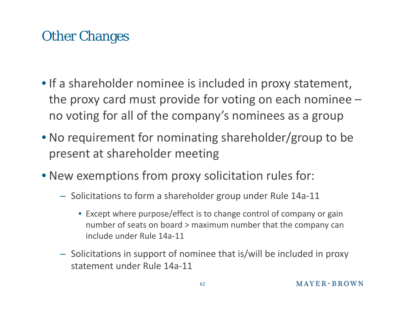# Other Changes

- If <sup>a</sup> shareholder nominee is included in proxy statement, the proxy card must provide for voting on each nominee – no voting for all of the company's nominees as <sup>a</sup> group
- No requirement for nominating shareholder/group to be present at shareholder meeting
- New exemptions from proxy solicitation rules for:
	- Solicitations to form <sup>a</sup> shareholder group under Rule 14a‐11
		- Except where purpose/effect is to change control of company or gain number of seats on board <sup>&</sup>gt; maximum number that the company can include under Rule 14a‐11
	- Solicitations in support of nominee that is/will be included in proxy statement under Rule 14a‐11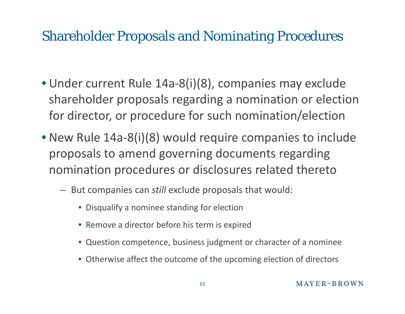### Shareholder Proposals and Nominating Procedures

- Under current Rule 14a ‐8(i)(8), companies may exclude shareholder proposals regarding a nomination or election for director, or procedure for such nomination/election
- New Rule 14a ‐8(i)(8) would require companies to include proposals to amend governing documents regarding nomination procedures or disclosures related thereto
	- But companies can *still* exclude proposals that would:
		- Disqualify a nominee standing for election
		- Remove a director before his term is expired
		- Question competence, business judgment or character of a nominee
		- Otherwise affect the outcome of the upcoming election of directors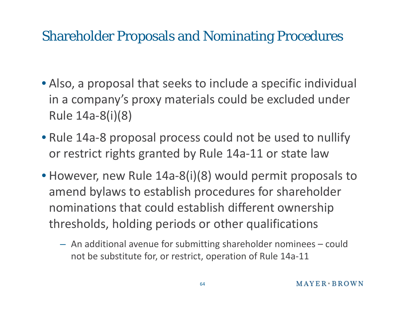### Shareholder Proposals and Nominating Procedures

- Also, a proposal that seeks to include a specific individual in a company's proxy materials could be excluded under Rule 14a ‐8(i)(8)
- Rule 14a ‐ 8 proposal process could not be used to nullify or restrict rights granted by Rule 14a ‐11 or state law
- However, new Rule 14a-8(i)(8) would permit proposals to amend bylaws to establish procedures for shareholder nominations that could establish different ownership thresholds, holding periods or other qualifications
	- An additional avenue for submitting shareholder nominees could not be substitute for, or restrict, operation of Rule 14a-11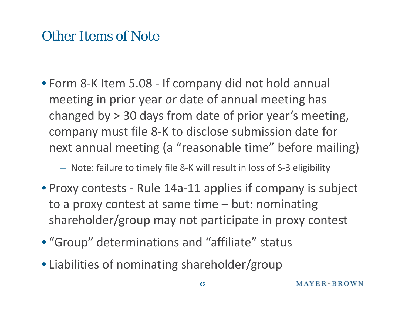### Other Items of Note

• Form 8‐K Item 5.08 ‐ If company did not hold annual meeting in prior year *or* date of annual meeting has changed by <sup>&</sup>gt; 30 days from date of prior year's meeting, company must file 8-K to disclose submission date for next annual meeting (a "reasonable time" before mailing)

#### – Note: failure to timely file 8‐K will result in loss of S‐3 eligibility

- Proxy contests ‐ Rule 14a‐11 applies if company is subject to <sup>a</sup> proxy contest at same time – but: nominating shareholder/group may not participate in proxy contest
- "Group" determinations and "affiliate" status
- Liabilities of nominating shareholder/group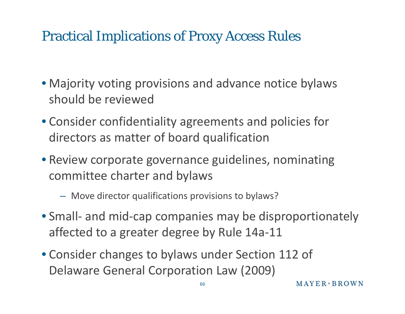### Practical Implications of Proxy Access Rules

- Majority voting provisions and advance notice bylaws should be reviewed
- Consider confidentiality agreements and policies for directors as matter of board qualification
- Review corporate governance guidelines, nominating committee charter and bylaws
	- Move director qualifications provisions to bylaws?
- Small- and mid-cap companies may be disproportionately affected to a greater degree by Rule 14a ‐11
- Consider changes to bylaws under Section 112 of Delaware General Corporation Law (2009)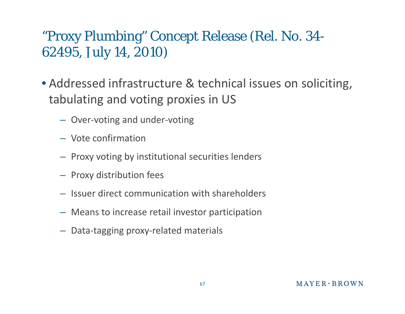## "Proxy Plumbing" Concept Release (Rel. No. 34- 62495, July 14, 2010)

- Addressed infrastructure & technical issues on soliciting, tabulating and voting proxies in US
	- Over ‐voting and under ‐voting
	- Vote confirmation
	- Proxy voting by institutional securities lenders
	- Proxy distribution fees
	- Issuer direct communication with shareholders
	- Means to increase retail investor participation
	- Data ‐tagging proxy ‐related materials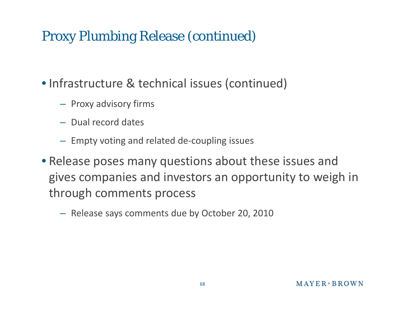### Proxy Plumbing Release (continued)

• Infrastructure & technical issues (continued)

- Proxy advisory firms
- Dual record dates
- $-$  Empty voting and related de-coupling issues
- Release poses many questions about these issues and gives companies and investors an opportunity to weigh in through comments process
	- Release says comments due by October 20, 2010